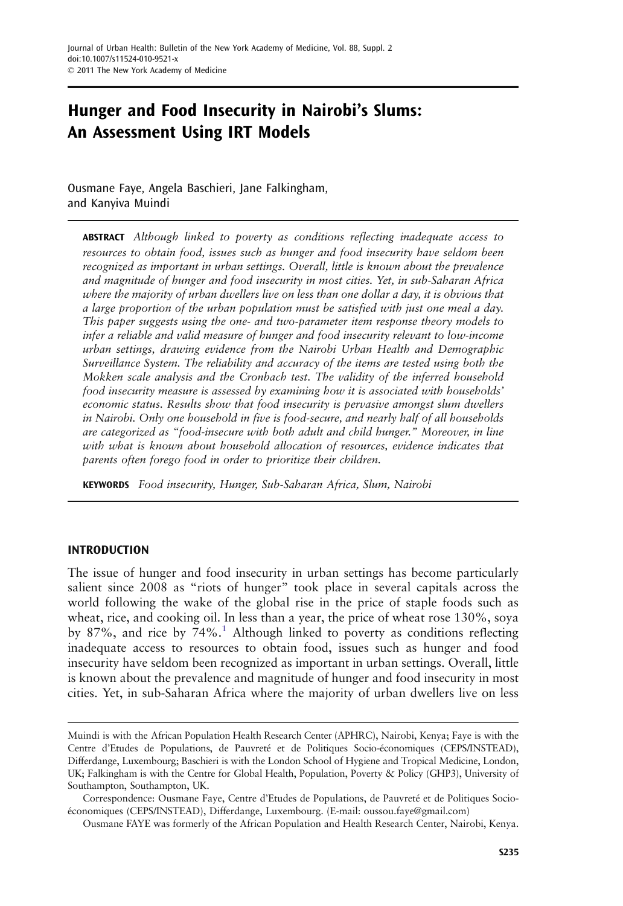# Hunger and Food Insecurity in Nairobi's Slums: An Assessment Using IRT Models

Ousmane Faye, Angela Baschieri, Jane Falkingham, and Kanyiva Muindi

ABSTRACT Although linked to poverty as conditions reflecting inadequate access to resources to obtain food, issues such as hunger and food insecurity have seldom been recognized as important in urban settings. Overall, little is known about the prevalence and magnitude of hunger and food insecurity in most cities. Yet, in sub-Saharan Africa where the majority of urban dwellers live on less than one dollar a day, it is obvious that a large proportion of the urban population must be satisfied with just one meal a day. This paper suggests using the one- and two-parameter item response theory models to infer a reliable and valid measure of hunger and food insecurity relevant to low-income urban settings, drawing evidence from the Nairobi Urban Health and Demographic Surveillance System. The reliability and accuracy of the items are tested using both the Mokken scale analysis and the Cronbach test. The validity of the inferred household food insecurity measure is assessed by examining how it is associated with households' economic status. Results show that food insecurity is pervasive amongst slum dwellers in Nairobi. Only one household in five is food-secure, and nearly half of all households are categorized as "food-insecure with both adult and child hunger." Moreover, in line with what is known about household allocation of resources, evidence indicates that parents often forego food in order to prioritize their children.

KEYWORDS Food insecurity, Hunger, Sub-Saharan Africa, Slum, Nairobi

## INTRODUCTION

The issue of hunger and food insecurity in urban settings has become particularly salient since 2008 as "riots of hunger" took place in several capitals across the world following the wake of the global rise in the price of staple foods such as wheat, rice, and cooking oil. In less than a year, the price of wheat rose 130%, soya by 87%, and rice by  $74\%$ .<sup>[1](#page-19-0)</sup> Although linked to poverty as conditions reflecting inadequate access to resources to obtain food, issues such as hunger and food insecurity have seldom been recognized as important in urban settings. Overall, little is known about the prevalence and magnitude of hunger and food insecurity in most cities. Yet, in sub-Saharan Africa where the majority of urban dwellers live on less

Muindi is with the African Population Health Research Center (APHRC), Nairobi, Kenya; Faye is with the Centre d'Etudes de Populations, de Pauvreté et de Politiques Socio-économiques (CEPS/INSTEAD), Differdange, Luxembourg; Baschieri is with the London School of Hygiene and Tropical Medicine, London, UK; Falkingham is with the Centre for Global Health, Population, Poverty & Policy (GHP3), University of Southampton, Southampton, UK.

Correspondence: Ousmane Faye, Centre d'Etudes de Populations, de Pauvreté et de Politiques Socioéconomiques (CEPS/INSTEAD), Differdange, Luxembourg. (E-mail: oussou.faye@gmail.com)

Ousmane FAYE was formerly of the African Population and Health Research Center, Nairobi, Kenya.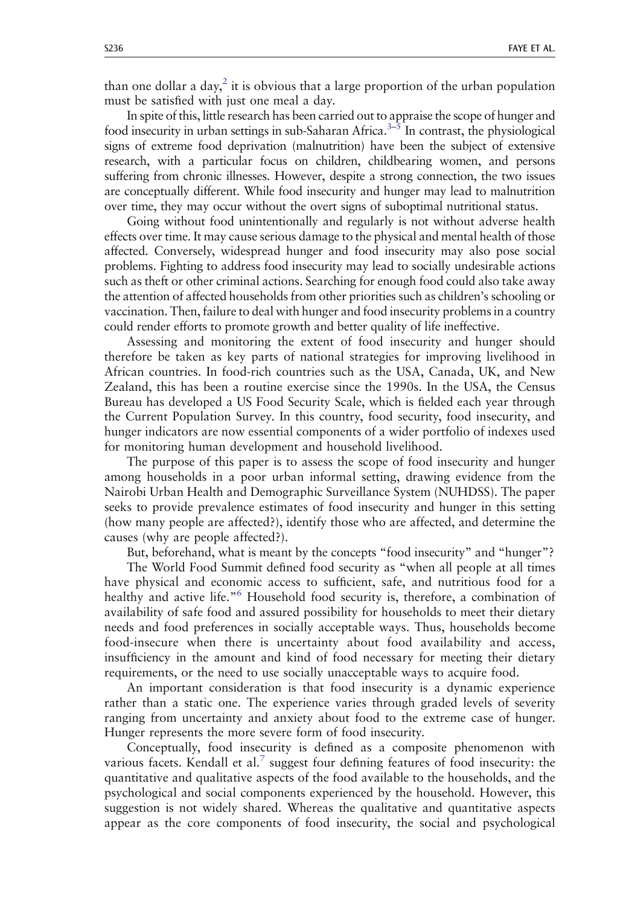than one dollar a day,<sup>[2](#page-19-0)</sup> it is obvious that a large proportion of the urban population must be satisfied with just one meal a day.

In spite of this, little research has been carried out to appraise the scope of hunger and food insecurity in urban settings in sub-Saharan Africa.<sup> $3-5$  $3-5$  $3-5$ </sup> In contrast, the physiological signs of extreme food deprivation (malnutrition) have been the subject of extensive research, with a particular focus on children, childbearing women, and persons suffering from chronic illnesses. However, despite a strong connection, the two issues are conceptually different. While food insecurity and hunger may lead to malnutrition over time, they may occur without the overt signs of suboptimal nutritional status.

Going without food unintentionally and regularly is not without adverse health effects over time. It may cause serious damage to the physical and mental health of those affected. Conversely, widespread hunger and food insecurity may also pose social problems. Fighting to address food insecurity may lead to socially undesirable actions such as theft or other criminal actions. Searching for enough food could also take away the attention of affected households from other priorities such as children's schooling or vaccination. Then, failure to deal with hunger and food insecurity problems in a country could render efforts to promote growth and better quality of life ineffective.

Assessing and monitoring the extent of food insecurity and hunger should therefore be taken as key parts of national strategies for improving livelihood in African countries. In food-rich countries such as the USA, Canada, UK, and New Zealand, this has been a routine exercise since the 1990s. In the USA, the Census Bureau has developed a US Food Security Scale, which is fielded each year through the Current Population Survey. In this country, food security, food insecurity, and hunger indicators are now essential components of a wider portfolio of indexes used for monitoring human development and household livelihood.

The purpose of this paper is to assess the scope of food insecurity and hunger among households in a poor urban informal setting, drawing evidence from the Nairobi Urban Health and Demographic Surveillance System (NUHDSS). The paper seeks to provide prevalence estimates of food insecurity and hunger in this setting (how many people are affected?), identify those who are affected, and determine the causes (why are people affected?).

But, beforehand, what is meant by the concepts "food insecurity" and "hunger"?

The World Food Summit defined food security as "when all people at all times have physical and economic access to sufficient, safe, and nutritious food for a healthy and active life."<sup>[6](#page-19-0)</sup> Household food security is, therefore, a combination of availability of safe food and assured possibility for households to meet their dietary needs and food preferences in socially acceptable ways. Thus, households become food-insecure when there is uncertainty about food availability and access, insufficiency in the amount and kind of food necessary for meeting their dietary requirements, or the need to use socially unacceptable ways to acquire food.

An important consideration is that food insecurity is a dynamic experience rather than a static one. The experience varies through graded levels of severity ranging from uncertainty and anxiety about food to the extreme case of hunger. Hunger represents the more severe form of food insecurity.

Conceptually, food insecurity is defined as a composite phenomenon with various facets. Kendall et al.<sup>[7](#page-19-0)</sup> suggest four defining features of food insecurity: the quantitative and qualitative aspects of the food available to the households, and the psychological and social components experienced by the household. However, this suggestion is not widely shared. Whereas the qualitative and quantitative aspects appear as the core components of food insecurity, the social and psychological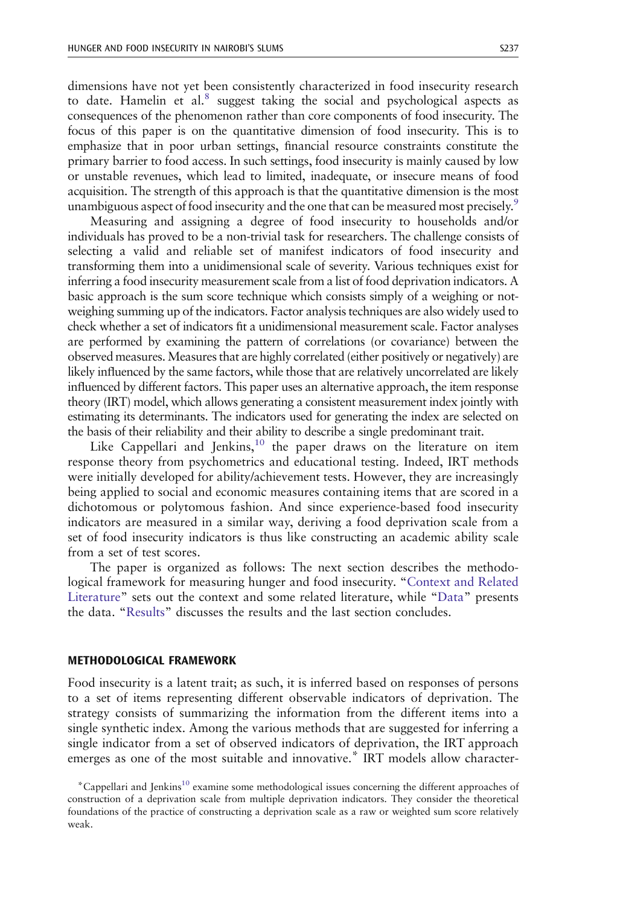dimensions have not yet been consistently characterized in food insecurity research to date. Hamelin et al.<sup>[8](#page-19-0)</sup> suggest taking the social and psychological aspects as consequences of the phenomenon rather than core components of food insecurity. The focus of this paper is on the quantitative dimension of food insecurity. This is to emphasize that in poor urban settings, financial resource constraints constitute the primary barrier to food access. In such settings, food insecurity is mainly caused by low or unstable revenues, which lead to limited, inadequate, or insecure means of food acquisition. The strength of this approach is that the quantitative dimension is the most unambiguous aspect of food insecurity and the one that can be measured most precisely.<sup>9</sup>

Measuring and assigning a degree of food insecurity to households and/or individuals has proved to be a non-trivial task for researchers. The challenge consists of selecting a valid and reliable set of manifest indicators of food insecurity and transforming them into a unidimensional scale of severity. Various techniques exist for inferring a food insecurity measurement scale from a list of food deprivation indicators. A basic approach is the sum score technique which consists simply of a weighing or notweighing summing up of the indicators. Factor analysis techniques are also widely used to check whether a set of indicators fit a unidimensional measurement scale. Factor analyses are performed by examining the pattern of correlations (or covariance) between the observed measures. Measures that are highly correlated (either positively or negatively) are likely influenced by the same factors, while those that are relatively uncorrelated are likely influenced by different factors. This paper uses an alternative approach, the item response theory (IRT) model, which allows generating a consistent measurement index jointly with estimating its determinants. The indicators used for generating the index are selected on the basis of their reliability and their ability to describe a single predominant trait.

Like Cappellari and Jenkins, $10$  the paper draws on the literature on item response theory from psychometrics and educational testing. Indeed, IRT methods were initially developed for ability/achievement tests. However, they are increasingly being applied to social and economic measures containing items that are scored in a dichotomous or polytomous fashion. And since experience-based food insecurity indicators are measured in a similar way, deriving a food deprivation scale from a set of food insecurity indicators is thus like constructing an academic ability scale from a set of test scores.

The paper is organized as follows: The next section describes the methodological framework for measuring hunger and food insecurity. "[Context and Related](#page-6-0) [Literature](#page-6-0)" sets out the context and some related literature, while "[Data](#page-7-0)" presents the data. "[Results](#page-11-0)" discusses the results and the last section concludes.

#### METHODOLOGICAL FRAMEWORK

Food insecurity is a latent trait; as such, it is inferred based on responses of persons to a set of items representing different observable indicators of deprivation. The strategy consists of summarizing the information from the different items into a single synthetic index. Among the various methods that are suggested for inferring a single indicator from a set of observed indicators of deprivation, the IRT approach emerges as one of the most suitable and innovative.\* IRT models allow character-

<sup>\*</sup>Cappellari and Jenkin[s10](#page-19-0) examine some methodological issues concerning the different approaches of construction of a deprivation scale from multiple deprivation indicators. They consider the theoretical foundations of the practice of constructing a deprivation scale as a raw or weighted sum score relatively weak.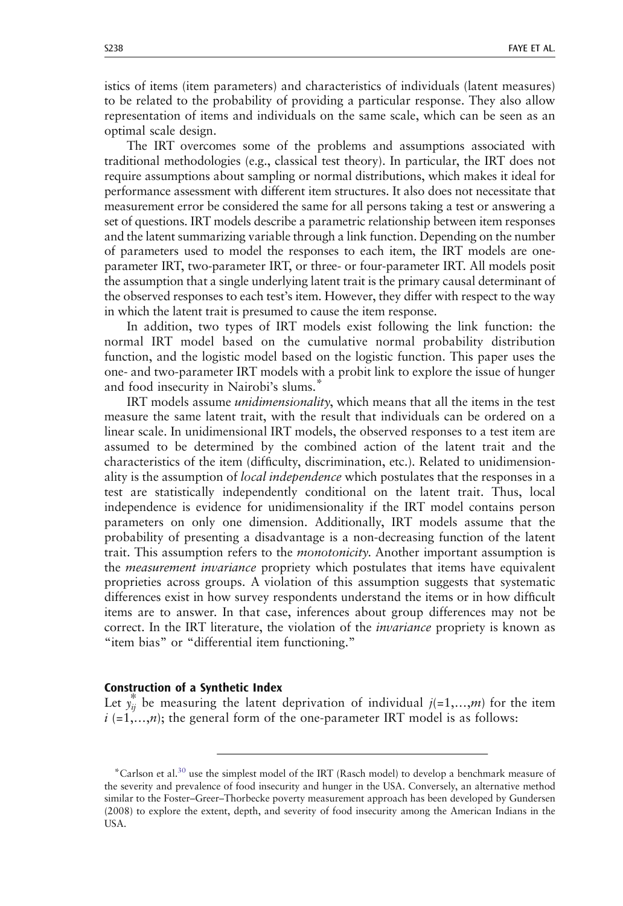istics of items (item parameters) and characteristics of individuals (latent measures) to be related to the probability of providing a particular response. They also allow representation of items and individuals on the same scale, which can be seen as an optimal scale design.

The IRT overcomes some of the problems and assumptions associated with traditional methodologies (e.g., classical test theory). In particular, the IRT does not require assumptions about sampling or normal distributions, which makes it ideal for performance assessment with different item structures. It also does not necessitate that measurement error be considered the same for all persons taking a test or answering a set of questions. IRT models describe a parametric relationship between item responses and the latent summarizing variable through a link function. Depending on the number of parameters used to model the responses to each item, the IRT models are oneparameter IRT, two-parameter IRT, or three- or four-parameter IRT. All models posit the assumption that a single underlying latent trait is the primary causal determinant of the observed responses to each test's item. However, they differ with respect to the way in which the latent trait is presumed to cause the item response.

In addition, two types of IRT models exist following the link function: the normal IRT model based on the cumulative normal probability distribution function, and the logistic model based on the logistic function. This paper uses the one- and two-parameter IRT models with a probit link to explore the issue of hunger and food insecurity in Nairobi's slums.\*

IRT models assume *unidimensionality*, which means that all the items in the test measure the same latent trait, with the result that individuals can be ordered on a linear scale. In unidimensional IRT models, the observed responses to a test item are assumed to be determined by the combined action of the latent trait and the characteristics of the item (difficulty, discrimination, etc.). Related to unidimensionality is the assumption of local independence which postulates that the responses in a test are statistically independently conditional on the latent trait. Thus, local independence is evidence for unidimensionality if the IRT model contains person parameters on only one dimension. Additionally, IRT models assume that the probability of presenting a disadvantage is a non-decreasing function of the latent trait. This assumption refers to the *monotonicity*. Another important assumption is the *measurement invariance* propriety which postulates that items have equivalent proprieties across groups. A violation of this assumption suggests that systematic differences exist in how survey respondents understand the items or in how difficult items are to answer. In that case, inferences about group differences may not be correct. In the IRT literature, the violation of the *invariance* propriety is known as "item bias" or "differential item functioning."

#### Construction of a Synthetic Index

Let  $y_{ij}^*$  be measuring the latent deprivation of individual  $j(=1,...,m)$  for the item  $i$  (=1,…,*n*); the general form of the one-parameter IRT model is as follows:

<sup>&</sup>lt;sup>\*</sup>Carlson et al.<sup>30</sup> use the simplest model of the IRT (Rasch model) to develop a benchmark measure of the severity and prevalence of food insecurity and hunger in the USA. Conversely, an alternative method similar to the Foster–Greer–Thorbecke poverty measurement approach has been developed by Gundersen (2008) to explore the extent, depth, and severity of food insecurity among the American Indians in the USA.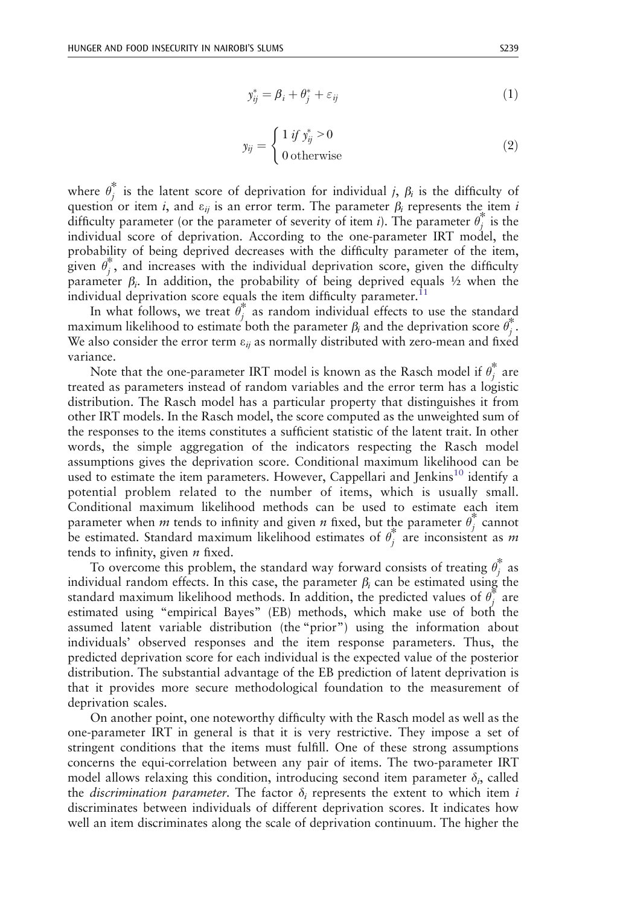$$
y_{ij}^* = \beta_i + \theta_j^* + \varepsilon_{ij}
$$
 (1)

$$
y_{ij} = \begin{cases} 1 & \text{if } y_{ij}^* > 0 \\ 0 & \text{otherwise} \end{cases}
$$
 (2)

where  $\theta_j^*$  is the latent score of deprivation for individual j,  $\beta_i$  is the difficulty of question or item i, and  $\varepsilon_{ii}$  is an error term. The parameter  $\beta_i$  represents the item i difficulty parameter (or the parameter of severity of item *i*). The parameter  $\theta_i^*$  is the individual score of deprivation. According to the one-parameter IRT model, the probability of being deprived decreases with the difficulty parameter of the item, given  $\theta_i^*$ , and increases with the individual deprivation score, given the difficulty parameter  $\beta_i$ . In addition, the probability of being deprived equals  $\frac{1}{2}$  when the individual deprivation score equals the item difficulty parameter.<sup>[11](#page-19-0)</sup>

In what follows, we treat  $\theta_i^*$  as random individual effects to use the standard maximum likelihood to estimate both the parameter  $\beta_i$  and the deprivation score  $\theta_j^*$ . We also consider the error term  $\varepsilon_{ij}$  as normally distributed with zero-mean and fixed variance.

Note that the one-parameter IRT model is known as the Rasch model if  $\theta_j^*$  are treated as parameters instead of random variables and the error term has a logistic distribution. The Rasch model has a particular property that distinguishes it from other IRT models. In the Rasch model, the score computed as the unweighted sum of the responses to the items constitutes a sufficient statistic of the latent trait. In other words, the simple aggregation of the indicators respecting the Rasch model assumptions gives the deprivation score. Conditional maximum likelihood can be used to estimate the item parameters. However, Cappellari and Jenkins<sup>[10](#page-19-0)</sup> identify a potential problem related to the number of items, which is usually small. Conditional maximum likelihood methods can be used to estimate each item parameter when *m* tends to infinity and given *n* fixed, but the parameter  $\theta_i^*$  cannot be estimated. Standard maximum likelihood estimates of  $\theta_i^*$  are inconsistent as m tends to infinity, given  $n$  fixed.

To overcome this problem, the standard way forward consists of treating  $\theta_j^*$  as individual random effects. In this case, the parameter  $\beta_i$  can be estimated using the standard maximum likelihood methods. In addition, the predicted values of  $\theta_i^*$  are estimated using "empirical Bayes" (EB) methods, which make use of both the assumed latent variable distribution (the "prior") using the information about individuals' observed responses and the item response parameters. Thus, the predicted deprivation score for each individual is the expected value of the posterior distribution. The substantial advantage of the EB prediction of latent deprivation is that it provides more secure methodological foundation to the measurement of deprivation scales.

On another point, one noteworthy difficulty with the Rasch model as well as the one-parameter IRT in general is that it is very restrictive. They impose a set of stringent conditions that the items must fulfill. One of these strong assumptions concerns the equi-correlation between any pair of items. The two-parameter IRT model allows relaxing this condition, introducing second item parameter  $\delta_i$ , called the *discrimination parameter*. The factor  $\delta_i$  represents the extent to which item i discriminates between individuals of different deprivation scores. It indicates how well an item discriminates along the scale of deprivation continuum. The higher the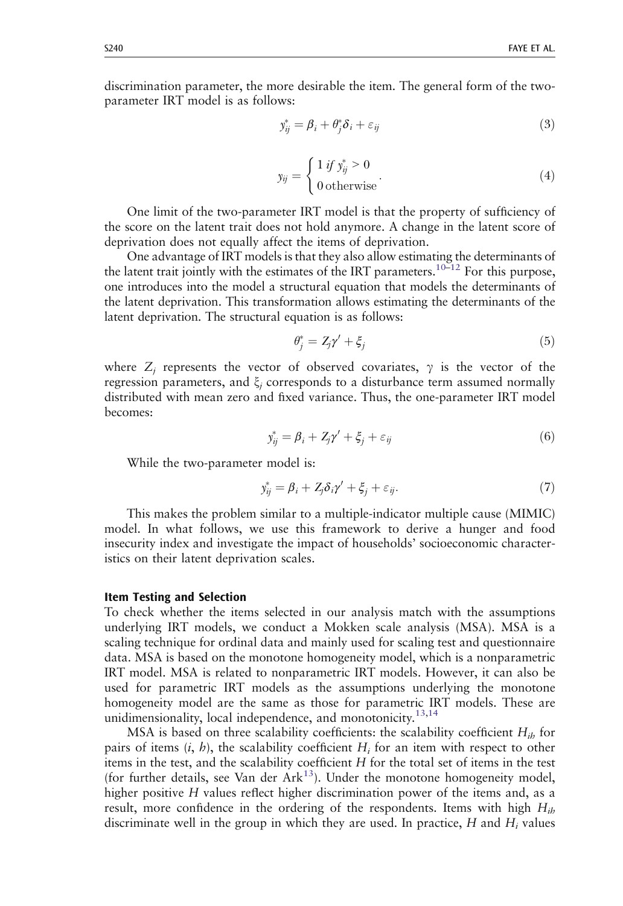<span id="page-5-0"></span>discrimination parameter, the more desirable the item. The general form of the twoparameter IRT model is as follows:

$$
y_{ij}^* = \beta_i + \theta_j^* \delta_i + \varepsilon_{ij}
$$
\n<sup>(3)</sup>

$$
y_{ij} = \begin{cases} 1 & \text{if } y_{ij}^* > 0 \\ 0 & \text{otherwise} \end{cases} \tag{4}
$$

One limit of the two-parameter IRT model is that the property of sufficiency of the score on the latent trait does not hold anymore. A change in the latent score of deprivation does not equally affect the items of deprivation.

One advantage of IRT models is that they also allow estimating the determinants of the latent trait jointly with the estimates of the IRT parameters[.10](#page-19-0)–[12](#page-19-0) For this purpose, one introduces into the model a structural equation that models the determinants of the latent deprivation. This transformation allows estimating the determinants of the latent deprivation. The structural equation is as follows:

$$
\theta_j^* = Z_j \gamma' + \xi_j \tag{5}
$$

where  $Z_j$  represents the vector of observed covariates,  $\gamma$  is the vector of the regression parameters, and  $\xi_i$  corresponds to a disturbance term assumed normally distributed with mean zero and fixed variance. Thus, the one-parameter IRT model becomes:

$$
y_{ij}^* = \beta_i + Z_j \gamma' + \xi_j + \varepsilon_{ij}
$$
\n<sup>(6)</sup>

While the two-parameter model is:

$$
y_{ij}^* = \beta_i + Z_j \delta_i \gamma' + \xi_j + \varepsilon_{ij}.
$$
\n<sup>(7)</sup>

This makes the problem similar to a multiple-indicator multiple cause (MIMIC) model. In what follows, we use this framework to derive a hunger and food insecurity index and investigate the impact of households' socioeconomic characteristics on their latent deprivation scales.

#### Item Testing and Selection

To check whether the items selected in our analysis match with the assumptions underlying IRT models, we conduct a Mokken scale analysis (MSA). MSA is a scaling technique for ordinal data and mainly used for scaling test and questionnaire data. MSA is based on the monotone homogeneity model, which is a nonparametric IRT model. MSA is related to nonparametric IRT models. However, it can also be used for parametric IRT models as the assumptions underlying the monotone homogeneity model are the same as those for parametric IRT models. These are unidimensionality, local independence, and monotonicity.<sup>[13,14](#page-19-0)</sup>

MSA is based on three scalability coefficients: the scalability coefficient  $H_{ih}$  for pairs of items  $(i, h)$ , the scalability coefficient  $H_i$  for an item with respect to other items in the test, and the scalability coefficient H for the total set of items in the test (for further details, see Van der Ark $^{13}$  $^{13}$  $^{13}$ ). Under the monotone homogeneity model, higher positive H values reflect higher discrimination power of the items and, as a result, more confidence in the ordering of the respondents. Items with high  $H_{ih}$ discriminate well in the group in which they are used. In practice,  $H$  and  $H_i$  values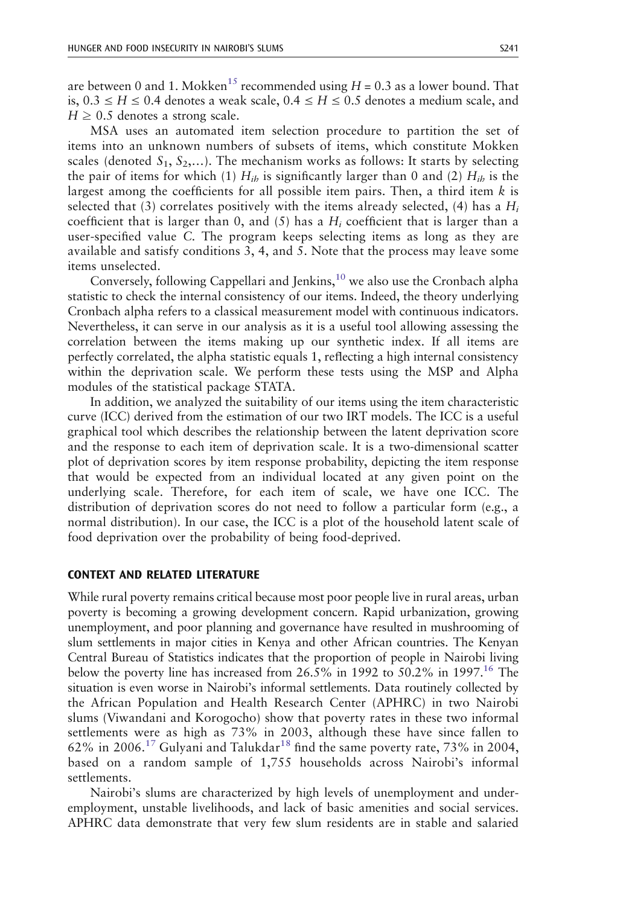<span id="page-6-0"></span>are between 0 and 1. Mokken<sup>[15](#page-19-0)</sup> recommended using  $H = 0.3$  as a lower bound. That is,  $0.3 \leq H \leq 0.4$  denotes a weak scale,  $0.4 \leq H \leq 0.5$  denotes a medium scale, and  $H \geq 0.5$  denotes a strong scale.

MSA uses an automated item selection procedure to partition the set of items into an unknown numbers of subsets of items, which constitute Mokken scales (denoted  $S_1, S_2,...$ ). The mechanism works as follows: It starts by selecting the pair of items for which (1)  $H_{ib}$  is significantly larger than 0 and (2)  $H_{ib}$  is the largest among the coefficients for all possible item pairs. Then, a third item  $k$  is selected that (3) correlates positively with the items already selected, (4) has a  $H_i$ coefficient that is larger than 0, and (5) has a  $H_i$  coefficient that is larger than a user-specified value C. The program keeps selecting items as long as they are available and satisfy conditions 3, 4, and 5. Note that the process may leave some items unselected.

Conversely, following Cappellari and Jenkins,  $10$  we also use the Cronbach alpha statistic to check the internal consistency of our items. Indeed, the theory underlying Cronbach alpha refers to a classical measurement model with continuous indicators. Nevertheless, it can serve in our analysis as it is a useful tool allowing assessing the correlation between the items making up our synthetic index. If all items are perfectly correlated, the alpha statistic equals 1, reflecting a high internal consistency within the deprivation scale. We perform these tests using the MSP and Alpha modules of the statistical package STATA.

In addition, we analyzed the suitability of our items using the item characteristic curve (ICC) derived from the estimation of our two IRT models. The ICC is a useful graphical tool which describes the relationship between the latent deprivation score and the response to each item of deprivation scale. It is a two-dimensional scatter plot of deprivation scores by item response probability, depicting the item response that would be expected from an individual located at any given point on the underlying scale. Therefore, for each item of scale, we have one ICC. The distribution of deprivation scores do not need to follow a particular form (e.g., a normal distribution). In our case, the ICC is a plot of the household latent scale of food deprivation over the probability of being food-deprived.

#### CONTEXT AND RELATED LITERATURE

While rural poverty remains critical because most poor people live in rural areas, urban poverty is becoming a growing development concern. Rapid urbanization, growing unemployment, and poor planning and governance have resulted in mushrooming of slum settlements in major cities in Kenya and other African countries. The Kenyan Central Bureau of Statistics indicates that the proportion of people in Nairobi living below the poverty line has increased from  $26.5\%$  in 1992 to  $50.2\%$  in 1997.<sup>16</sup> The situation is even worse in Nairobi's informal settlements. Data routinely collected by the African Population and Health Research Center (APHRC) in two Nairobi slums (Viwandani and Korogocho) show that poverty rates in these two informal settlements were as high as 73% in 2003, although these have since fallen to 62% in 2006.<sup>[17](#page-19-0)</sup> Gulyani and Talukdar<sup>[18](#page-19-0)</sup> find the same poverty rate, 73% in 2004, based on a random sample of 1,755 households across Nairobi's informal settlements.

Nairobi's slums are characterized by high levels of unemployment and underemployment, unstable livelihoods, and lack of basic amenities and social services. APHRC data demonstrate that very few slum residents are in stable and salaried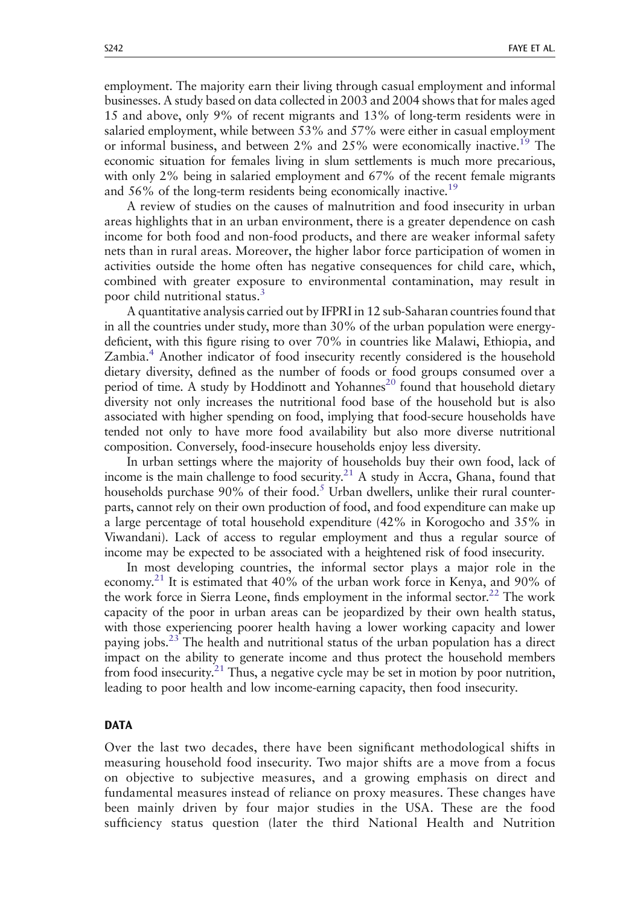<span id="page-7-0"></span>employment. The majority earn their living through casual employment and informal businesses. A study based on data collected in 2003 and 2004 shows that for males aged 15 and above, only 9% of recent migrants and 13% of long-term residents were in salaried employment, while between 53% and 57% were either in casual employment or informal business, and between  $2\%$  and  $25\%$  were economically inactive.<sup>19</sup> The economic situation for females living in slum settlements is much more precarious, with only 2% being in salaried employment and 67% of the recent female migrants and 56% of the long-term residents being economically inactive.<sup>19</sup>

A review of studies on the causes of malnutrition and food insecurity in urban areas highlights that in an urban environment, there is a greater dependence on cash income for both food and non-food products, and there are weaker informal safety nets than in rural areas. Moreover, the higher labor force participation of women in activities outside the home often has negative consequences for child care, which, combined with greater exposure to environmental contamination, may result in poor child nutritional status.<sup>[3](#page-19-0)</sup>

A quantitative analysis carried out by IFPRI in 12 sub-Saharan countries found that in all the countries under study, more than 30% of the urban population were energydeficient, with this figure rising to over 70% in countries like Malawi, Ethiopia, and Zambia[.4](#page-19-0) Another indicator of food insecurity recently considered is the household dietary diversity, defined as the number of foods or food groups consumed over a period of time. A study by Hoddinott and Yohannes<sup>[20](#page-19-0)</sup> found that household dietary diversity not only increases the nutritional food base of the household but is also associated with higher spending on food, implying that food-secure households have tended not only to have more food availability but also more diverse nutritional composition. Conversely, food-insecure households enjoy less diversity.

In urban settings where the majority of households buy their own food, lack of income is the main challenge to food security.<sup>21</sup> A study in Accra, Ghana, found that households purchase  $90\%$  of their food.<sup>5</sup> Urban dwellers, unlike their rural counterparts, cannot rely on their own production of food, and food expenditure can make up a large percentage of total household expenditure (42% in Korogocho and 35% in Viwandani). Lack of access to regular employment and thus a regular source of income may be expected to be associated with a heightened risk of food insecurity.

In most developing countries, the informal sector plays a major role in the economy.<sup>[21](#page-19-0)</sup> It is estimated that  $40\%$  of the urban work force in Kenya, and  $90\%$  of the work force in Sierra Leone, finds employment in the informal sector.<sup>[22](#page-20-0)</sup> The work capacity of the poor in urban areas can be jeopardized by their own health status, with those experiencing poorer health having a lower working capacity and lower paying jobs.<sup>23</sup> The health and nutritional status of the urban population has a direct impact on the ability to generate income and thus protect the household members from food insecurity.<sup>21</sup> Thus, a negative cycle may be set in motion by poor nutrition, leading to poor health and low income-earning capacity, then food insecurity.

## DATA

Over the last two decades, there have been significant methodological shifts in measuring household food insecurity. Two major shifts are a move from a focus on objective to subjective measures, and a growing emphasis on direct and fundamental measures instead of reliance on proxy measures. These changes have been mainly driven by four major studies in the USA. These are the food sufficiency status question (later the third National Health and Nutrition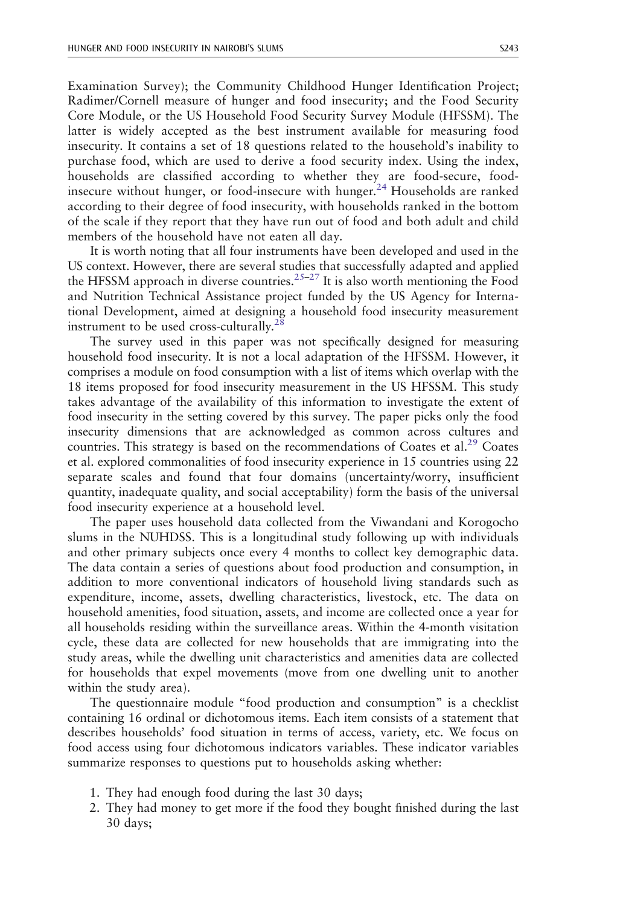Examination Survey); the Community Childhood Hunger Identification Project; Radimer/Cornell measure of hunger and food insecurity; and the Food Security Core Module, or the US Household Food Security Survey Module (HFSSM). The latter is widely accepted as the best instrument available for measuring food insecurity. It contains a set of 18 questions related to the household's inability to purchase food, which are used to derive a food security index. Using the index, households are classified according to whether they are food-secure, food-insecure without hunger, or food-insecure with hunger.<sup>[24](#page-20-0)</sup> Households are ranked according to their degree of food insecurity, with households ranked in the bottom of the scale if they report that they have run out of food and both adult and child members of the household have not eaten all day.

It is worth noting that all four instruments have been developed and used in the US context. However, there are several studies that successfully adapted and applied the HFSSM approach in diverse countries.<sup>[25](#page-20-0)–[27](#page-20-0)</sup> It is also worth mentioning the Food and Nutrition Technical Assistance project funded by the US Agency for International Development, aimed at designing a household food insecurity measurement instrument to be used cross-culturally. $^{28}$  $^{28}$  $^{28}$ 

The survey used in this paper was not specifically designed for measuring household food insecurity. It is not a local adaptation of the HFSSM. However, it comprises a module on food consumption with a list of items which overlap with the 18 items proposed for food insecurity measurement in the US HFSSM. This study takes advantage of the availability of this information to investigate the extent of food insecurity in the setting covered by this survey. The paper picks only the food insecurity dimensions that are acknowledged as common across cultures and countries. This strategy is based on the recommendations of Coates et al.<sup>[29](#page-20-0)</sup> Coates et al. explored commonalities of food insecurity experience in 15 countries using 22 separate scales and found that four domains (uncertainty/worry, insufficient quantity, inadequate quality, and social acceptability) form the basis of the universal food insecurity experience at a household level.

The paper uses household data collected from the Viwandani and Korogocho slums in the NUHDSS. This is a longitudinal study following up with individuals and other primary subjects once every 4 months to collect key demographic data. The data contain a series of questions about food production and consumption, in addition to more conventional indicators of household living standards such as expenditure, income, assets, dwelling characteristics, livestock, etc. The data on household amenities, food situation, assets, and income are collected once a year for all households residing within the surveillance areas. Within the 4-month visitation cycle, these data are collected for new households that are immigrating into the study areas, while the dwelling unit characteristics and amenities data are collected for households that expel movements (move from one dwelling unit to another within the study area).

The questionnaire module "food production and consumption" is a checklist containing 16 ordinal or dichotomous items. Each item consists of a statement that describes households' food situation in terms of access, variety, etc. We focus on food access using four dichotomous indicators variables. These indicator variables summarize responses to questions put to households asking whether:

- 1. They had enough food during the last 30 days;
- 2. They had money to get more if the food they bought finished during the last 30 days;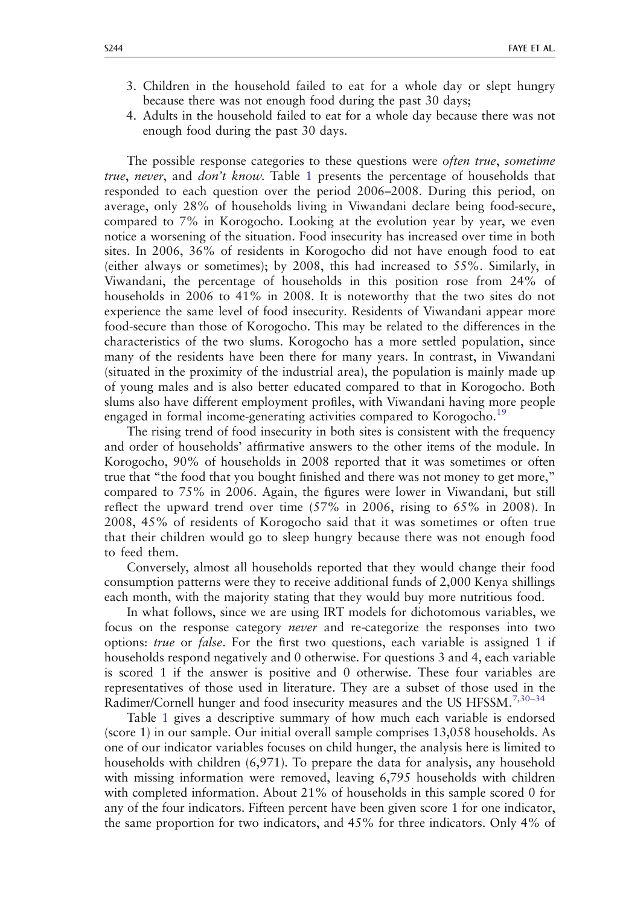- 3. Children in the household failed to eat for a whole day or slept hungry because there was not enough food during the past 30 days;
- 4. Adults in the household failed to eat for a whole day because there was not enough food during the past 30 days.

The possible response categories to these questions were *often true*, *sometime* true, never, and don't know. Table [1](#page-10-0) presents the percentage of households that responded to each question over the period 2006–2008. During this period, on average, only 28% of households living in Viwandani declare being food-secure, compared to 7% in Korogocho. Looking at the evolution year by year, we even notice a worsening of the situation. Food insecurity has increased over time in both sites. In 2006, 36% of residents in Korogocho did not have enough food to eat (either always or sometimes); by 2008, this had increased to 55%. Similarly, in Viwandani, the percentage of households in this position rose from 24% of households in 2006 to 41% in 2008. It is noteworthy that the two sites do not experience the same level of food insecurity. Residents of Viwandani appear more food-secure than those of Korogocho. This may be related to the differences in the characteristics of the two slums. Korogocho has a more settled population, since many of the residents have been there for many years. In contrast, in Viwandani (situated in the proximity of the industrial area), the population is mainly made up of young males and is also better educated compared to that in Korogocho. Both slums also have different employment profiles, with Viwandani having more people engaged in formal income-generating activities compared to Korogocho.<sup>[19](#page-19-0)</sup>

The rising trend of food insecurity in both sites is consistent with the frequency and order of households' affirmative answers to the other items of the module. In Korogocho, 90% of households in 2008 reported that it was sometimes or often true that "the food that you bought finished and there was not money to get more," compared to 75% in 2006. Again, the figures were lower in Viwandani, but still reflect the upward trend over time (57% in 2006, rising to 65% in 2008). In 2008, 45% of residents of Korogocho said that it was sometimes or often true that their children would go to sleep hungry because there was not enough food to feed them.

Conversely, almost all households reported that they would change their food consumption patterns were they to receive additional funds of 2,000 Kenya shillings each month, with the majority stating that they would buy more nutritious food.

In what follows, since we are using IRT models for dichotomous variables, we focus on the response category never and re-categorize the responses into two options: true or false. For the first two questions, each variable is assigned 1 if households respond negatively and 0 otherwise. For questions 3 and 4, each variable is scored 1 if the answer is positive and 0 otherwise. These four variables are representatives of those used in literature. They are a subset of those used in the Radimer/Cornell hunger and food insecurity measures and the US HFSSM.<sup>[7](#page-19-0)[,30](#page-20-0)-[34](#page-20-0)</sup>

Table [1](#page-10-0) gives a descriptive summary of how much each variable is endorsed (score 1) in our sample. Our initial overall sample comprises 13,058 households. As one of our indicator variables focuses on child hunger, the analysis here is limited to households with children (6,971). To prepare the data for analysis, any household with missing information were removed, leaving 6,795 households with children with completed information. About 21% of households in this sample scored 0 for any of the four indicators. Fifteen percent have been given score 1 for one indicator, the same proportion for two indicators, and 45% for three indicators. Only 4% of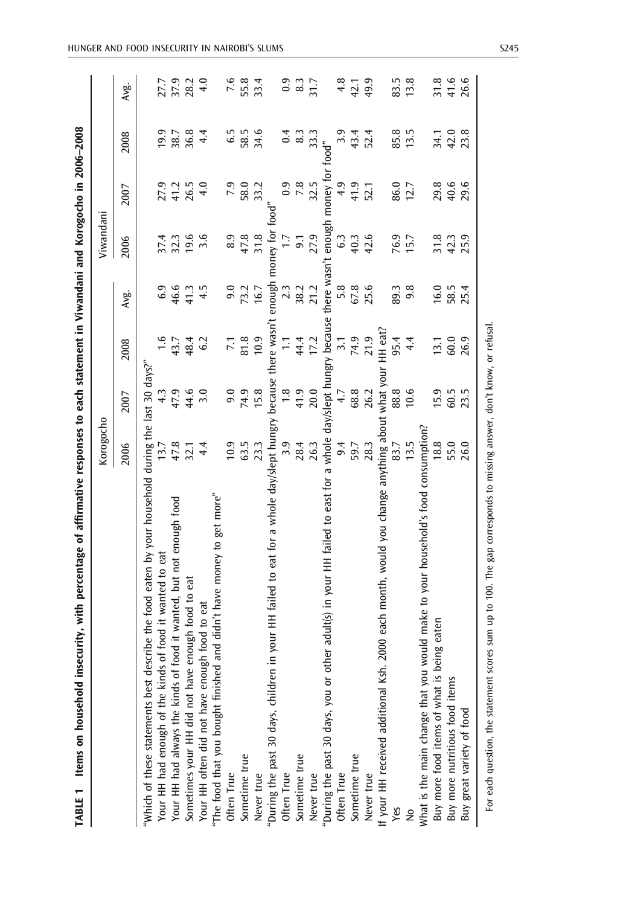<span id="page-10-0"></span>

| Items on household insecurity, with percentage of affirmative responses to each statement in Viwandani and Korogocho in 2006-2008<br>TABLE 1 |                           |               |                 |        |                     |                  |                      |                                                        |
|----------------------------------------------------------------------------------------------------------------------------------------------|---------------------------|---------------|-----------------|--------|---------------------|------------------|----------------------|--------------------------------------------------------|
|                                                                                                                                              | Korogocho                 |               |                 |        | Viwandani           |                  |                      |                                                        |
|                                                                                                                                              | 2006                      | 2007          | 2008            | Avg.   | 2006                | 2007             | 2008                 | Avg.                                                   |
| the food eaten by your household<br>"Which of these statements best describe                                                                 | during the last 30 days?" |               |                 |        |                     |                  |                      |                                                        |
| Your HH had enough of the kinds of food it wanted to eat                                                                                     | 13.7                      | 4.3           | $\frac{6}{1}$   | 6.9    | 37.4                | 27.9             | 19.9                 |                                                        |
| wanted, but not enough food<br>Your HH had always the kinds of food it                                                                       |                           | 47.9          | 43.7<br>48.4    | 46.6   | 32.3                | 41.2<br>26.5     | 38.7                 | 27.9<br>37.9<br>28.2                                   |
| food to eat<br>Sometimes your HH did not have enough                                                                                         | 47.8<br>32.1              | 44.6          |                 | 41.3   | 19.6                |                  | 36.8                 |                                                        |
| to eat<br>Your HH often did not have enough food                                                                                             | 4.4                       | 3.0           | 6.2             | 4.5    | 3.6                 | 4.0              | 4.4                  | 4.0                                                    |
| "The food that you bought finished and didn't have money to get more"                                                                        |                           |               |                 |        |                     |                  |                      |                                                        |
| Often True                                                                                                                                   | 10.9                      | 9.0           | $\overline{71}$ | 9.0    | 8.9                 | 7.9              | 6.5                  |                                                        |
| Sometime true                                                                                                                                | 63.5                      | 74.9          | 81.8            | 73.2   | 47.8                | 58.0             | 58.5                 | 7.6<br>55.8                                            |
| Never true                                                                                                                                   | 23.3                      | 15.8          | 10.9            | 16.7   | 31.8                | 33.2             | 34.6                 | 33.4                                                   |
| HH failed to eat for a whole day/slept hungry<br>"During the past 30 days, children in your                                                  |                           | because       | there wasn't    | enough | money for           |                  |                      |                                                        |
| Often True                                                                                                                                   | 3.9                       | $\frac{8}{1}$ | $\Xi$           | 2.3    | $\overline{1}$ :    | $\overline{0.9}$ | 0.4                  |                                                        |
| Sometime true                                                                                                                                | 28.4                      | 41.9          | 44.4            | 38.2   | 9.1                 | 7.8              | 8.3                  | $\begin{smallmatrix} 2 & 0 \\ 0 & 3 \end{smallmatrix}$ |
| Never true                                                                                                                                   | 26.3                      | 20.0          | 17.2            | 21.2   | 27.9                | 32.5             | 33.3                 | 31.7                                                   |
| "During the past 30 days, you or other adult(s) in your HH failed to east for a whole day/slept hungry because                               |                           |               |                 |        | there wasn't enough | money to         | food"                |                                                        |
| Often True                                                                                                                                   | 9.4                       | 4.7           | 3.1             | 5.8    | $\mathbf{c}_3$      | 4.9              |                      |                                                        |
| Sometime true                                                                                                                                | 59.7                      | 68.8          | 74.9            | 67.8   | 40.3                | 41.9             | $3.\overline{43}$ .4 | $4.8$<br>42.1                                          |
| Never true                                                                                                                                   | 28.3                      | 26.2          | 21.9            | 25.6   | 42.6                | 52.1             | 52.4                 | 49.9                                                   |
| If your HH received additional Ksh. 2000 each month, would you change anything about                                                         |                           | what you      | HH eat?         |        |                     |                  |                      |                                                        |
| Yes                                                                                                                                          | 83.7                      | 88.8          | 95.4            | 89.3   | 76.9                | 86.0             | 85.8                 | 83.5                                                   |
|                                                                                                                                              | 13.5                      | 10.6          | 4.4             | 9.8    | 15.7                | 12.7             | 13.5                 | 13.8                                                   |
| make to your household's food consumption?<br>What is the main change that you would                                                         |                           |               |                 |        |                     |                  |                      |                                                        |
| ten<br>Buy more food items of what is being ear                                                                                              | 18.8                      | 15.9          | 13.1            | 16.0   | 31.8                | 29.8             | 34.1                 | 31.8                                                   |
| Buy more nutritious food items                                                                                                               | 55.0                      | 60.5          | 60.0            | 58.5   | 42.3                | 40.6             | 42.0                 | 41.6                                                   |
| Buy great variety of food                                                                                                                    | 26.0                      | 23.5          | 26.9            | 25.4   | 25.9                | 29.6             | 23.8                 | 26.6                                                   |
|                                                                                                                                              |                           |               |                 |        |                     |                  |                      |                                                        |

For each question, the statement scores sum up to 100. The gap corresponds to missing answer, don't know, or refusal. For each question, the statement scores sum up to 100. The gap corresponds to missing answer, don't know, or refusal.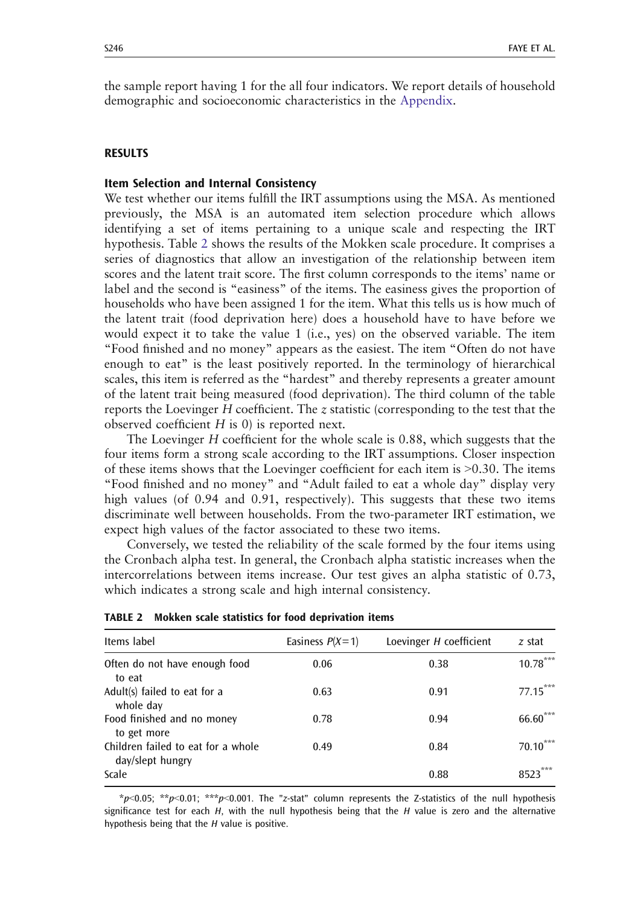<span id="page-11-0"></span>the sample report having 1 for the all four indicators. We report details of household demographic and socioeconomic characteristics in the [Appendix.](#page-18-0)

## RESULTS

## Item Selection and Internal Consistency

We test whether our items fulfill the IRT assumptions using the MSA. As mentioned previously, the MSA is an automated item selection procedure which allows identifying a set of items pertaining to a unique scale and respecting the IRT hypothesis. Table 2 shows the results of the Mokken scale procedure. It comprises a series of diagnostics that allow an investigation of the relationship between item scores and the latent trait score. The first column corresponds to the items' name or label and the second is "easiness" of the items. The easiness gives the proportion of households who have been assigned 1 for the item. What this tells us is how much of the latent trait (food deprivation here) does a household have to have before we would expect it to take the value 1 (i.e., yes) on the observed variable. The item "Food finished and no money" appears as the easiest. The item "Often do not have enough to eat" is the least positively reported. In the terminology of hierarchical scales, this item is referred as the "hardest" and thereby represents a greater amount of the latent trait being measured (food deprivation). The third column of the table reports the Loevinger  $H$  coefficient. The  $z$  statistic (corresponding to the test that the observed coefficient  $H$  is 0) is reported next.

The Loevinger H coefficient for the whole scale is 0.88, which suggests that the four items form a strong scale according to the IRT assumptions. Closer inspection of these items shows that the Loevinger coefficient for each item is 90.30. The items "Food finished and no money" and "Adult failed to eat a whole day" display very high values (of 0.94 and 0.91, respectively). This suggests that these two items discriminate well between households. From the two-parameter IRT estimation, we expect high values of the factor associated to these two items.

Conversely, we tested the reliability of the scale formed by the four items using the Cronbach alpha test. In general, the Cronbach alpha statistic increases when the intercorrelations between items increase. Our test gives an alpha statistic of 0.73, which indicates a strong scale and high internal consistency.

| Items label                                            | Easiness $P(X=1)$ | Loevinger H coefficient | z stat     |
|--------------------------------------------------------|-------------------|-------------------------|------------|
| Often do not have enough food<br>to eat                | 0.06              | 0.38                    | $10.78***$ |
| Adult(s) failed to eat for a<br>whole day              | 0.63              | 0.91                    | 77.15***   |
| Food finished and no money<br>to get more              | 0.78              | 0.94                    | $66.60***$ |
| Children failed to eat for a whole<br>day/slept hungry | 0.49              | 0.84                    | $70.10***$ |
| Scale                                                  |                   | 0.88                    | ***        |

TABLE 2 Mokken scale statistics for food deprivation items

\*p<0.05; \*\*p<0.01; \*\*\*p<0.001. The "z-stat" column represents the Z-statistics of the null hypothesis significance test for each  $H$ , with the null hypothesis being that the  $H$  value is zero and the alternative hypothesis being that the H value is positive.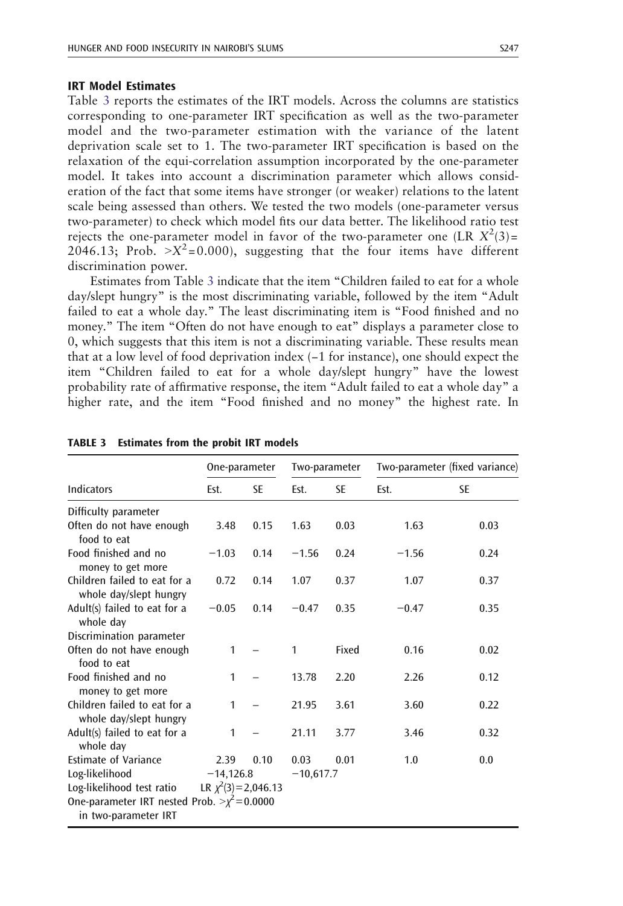# <span id="page-12-0"></span>IRT Model Estimates

Table 3 reports the estimates of the IRT models. Across the columns are statistics corresponding to one-parameter IRT specification as well as the two-parameter model and the two-parameter estimation with the variance of the latent deprivation scale set to 1. The two-parameter IRT specification is based on the relaxation of the equi-correlation assumption incorporated by the one-parameter model. It takes into account a discrimination parameter which allows consideration of the fact that some items have stronger (or weaker) relations to the latent scale being assessed than others. We tested the two models (one-parameter versus two-parameter) to check which model fits our data better. The likelihood ratio test rejects the one-parameter model in favor of the two-parameter one (LR  $X^2(3)$ = 2046.13; Prob.  $X^2 = 0.000$ , suggesting that the four items have different discrimination power.

Estimates from Table 3 indicate that the item "Children failed to eat for a whole day/slept hungry" is the most discriminating variable, followed by the item "Adult failed to eat a whole day." The least discriminating item is "Food finished and no money." The item "Often do not have enough to eat" displays a parameter close to 0, which suggests that this item is not a discriminating variable. These results mean that at a low level of food deprivation index (−1 for instance), one should expect the item "Children failed to eat for a whole day/slept hungry" have the lowest probability rate of affirmative response, the item "Adult failed to eat a whole day" a higher rate, and the item "Food finished and no money" the highest rate. In

|                                                                           | One-parameter             |           |             | Two-parameter |         | Two-parameter (fixed variance) |
|---------------------------------------------------------------------------|---------------------------|-----------|-------------|---------------|---------|--------------------------------|
| Indicators                                                                | Est.                      | <b>SE</b> | Est.        | <b>SE</b>     | Est.    | SE                             |
| Difficulty parameter                                                      |                           |           |             |               |         |                                |
| Often do not have enough<br>food to eat                                   | 3.48                      | 0.15      | 1.63        | 0.03          | 1.63    | 0.03                           |
| Food finished and no<br>money to get more                                 | $-1.03$                   | 0.14      | $-1.56$     | 0.24          | $-1.56$ | 0.24                           |
| Children failed to eat for a<br>whole day/slept hungry                    | 0.72                      | 0.14      | 1.07        | 0.37          | 1.07    | 0.37                           |
| Adult(s) failed to eat for a<br>whole day                                 | $-0.05$                   | 0.14      | $-0.47$     | 0.35          | $-0.47$ | 0.35                           |
| Discrimination parameter                                                  |                           |           |             |               |         |                                |
| Often do not have enough<br>food to eat                                   | $\mathbf{1}$              |           | 1           | Fixed         | 0.16    | 0.02                           |
| Food finished and no<br>money to get more                                 | 1                         |           | 13.78       | 2.20          | 2.26    | 0.12                           |
| Children failed to eat for a<br>whole day/slept hungry                    | $\mathbf{1}$              |           | 21.95       | 3.61          | 3.60    | 0.22                           |
| Adult(s) failed to eat for a<br>whole day                                 | 1                         |           | 21.11       | 3.77          | 3.46    | 0.32                           |
| <b>Estimate of Variance</b>                                               | 2.39                      | 0.10      | 0.03        | 0.01          | 1.0     | 0.0                            |
| Log-likelihood                                                            | $-14,126.8$               |           | $-10,617.7$ |               |         |                                |
| Log-likelihood test ratio                                                 | LR $\chi^2(3) = 2,046.13$ |           |             |               |         |                                |
| One-parameter IRT nested Prob. $>\chi^2$ = 0.0000<br>in two-parameter IRT |                           |           |             |               |         |                                |

| TABLE 3 Estimates from the probit IRT models |  |  |  |
|----------------------------------------------|--|--|--|
|                                              |  |  |  |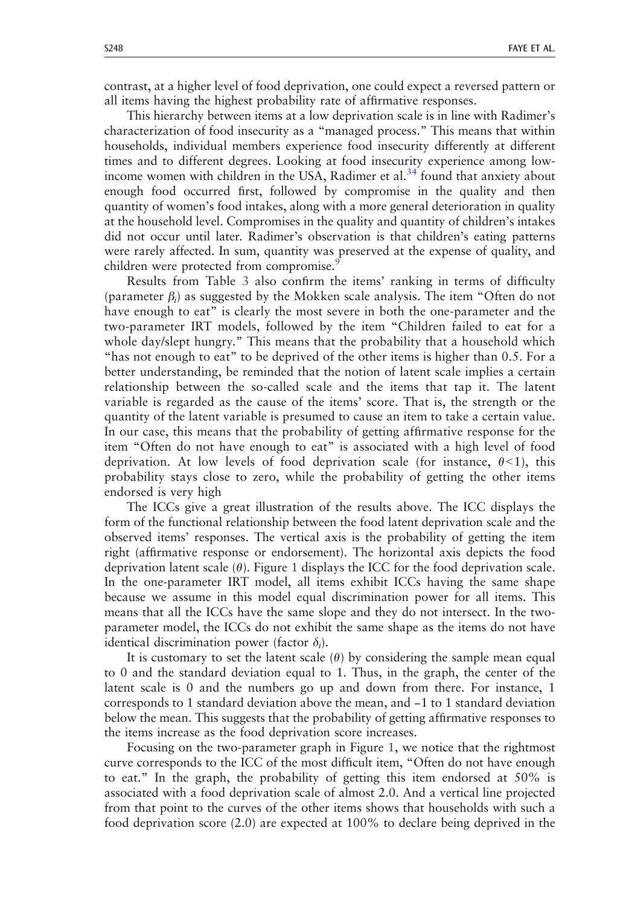contrast, at a higher level of food deprivation, one could expect a reversed pattern or all items having the highest probability rate of affirmative responses.

This hierarchy between items at a low deprivation scale is in line with Radimer's characterization of food insecurity as a "managed process." This means that within households, individual members experience food insecurity differently at different times and to different degrees. Looking at food insecurity experience among lowincome women with children in the USA, Radimer et al. $34$  found that anxiety about enough food occurred first, followed by compromise in the quality and then quantity of women's food intakes, along with a more general deterioration in quality at the household level. Compromises in the quality and quantity of children's intakes did not occur until later. Radimer's observation is that children's eating patterns were rarely affected. In sum, quantity was preserved at the expense of quality, and children were protected from compromise.<sup>[9](#page-19-0)</sup>

Results from Table [3](#page-12-0) also confirm the items' ranking in terms of difficulty (parameter  $\beta_i$ ) as suggested by the Mokken scale analysis. The item "Often do not have enough to eat" is clearly the most severe in both the one-parameter and the two-parameter IRT models, followed by the item "Children failed to eat for a whole day/slept hungry." This means that the probability that a household which "has not enough to eat" to be deprived of the other items is higher than 0.5. For a better understanding, be reminded that the notion of latent scale implies a certain relationship between the so-called scale and the items that tap it. The latent variable is regarded as the cause of the items' score. That is, the strength or the quantity of the latent variable is presumed to cause an item to take a certain value. In our case, this means that the probability of getting affirmative response for the item "Often do not have enough to eat" is associated with a high level of food deprivation. At low levels of food deprivation scale (for instance,  $\theta$ <1), this probability stays close to zero, while the probability of getting the other items endorsed is very high

The ICCs give a great illustration of the results above. The ICC displays the form of the functional relationship between the food latent deprivation scale and the observed items' responses. The vertical axis is the probability of getting the item right (affirmative response or endorsement). The horizontal axis depicts the food deprivation latent scale  $(\theta)$ . Figure [1](#page-14-0) displays the ICC for the food deprivation scale. In the one-parameter IRT model, all items exhibit ICCs having the same shape because we assume in this model equal discrimination power for all items. This means that all the ICCs have the same slope and they do not intersect. In the twoparameter model, the ICCs do not exhibit the same shape as the items do not have identical discrimination power (factor  $\delta_i$ ).

It is customary to set the latent scale  $(\theta)$  by considering the sample mean equal to 0 and the standard deviation equal to 1. Thus, in the graph, the center of the latent scale is 0 and the numbers go up and down from there. For instance, 1 corresponds to 1 standard deviation above the mean, and −1 to 1 standard deviation below the mean. This suggests that the probability of getting affirmative responses to the items increase as the food deprivation score increases.

Focusing on the two-parameter graph in Figure [1,](#page-14-0) we notice that the rightmost curve corresponds to the ICC of the most difficult item, "Often do not have enough to eat." In the graph, the probability of getting this item endorsed at 50% is associated with a food deprivation scale of almost 2.0. And a vertical line projected from that point to the curves of the other items shows that households with such a food deprivation score (2.0) are expected at 100% to declare being deprived in the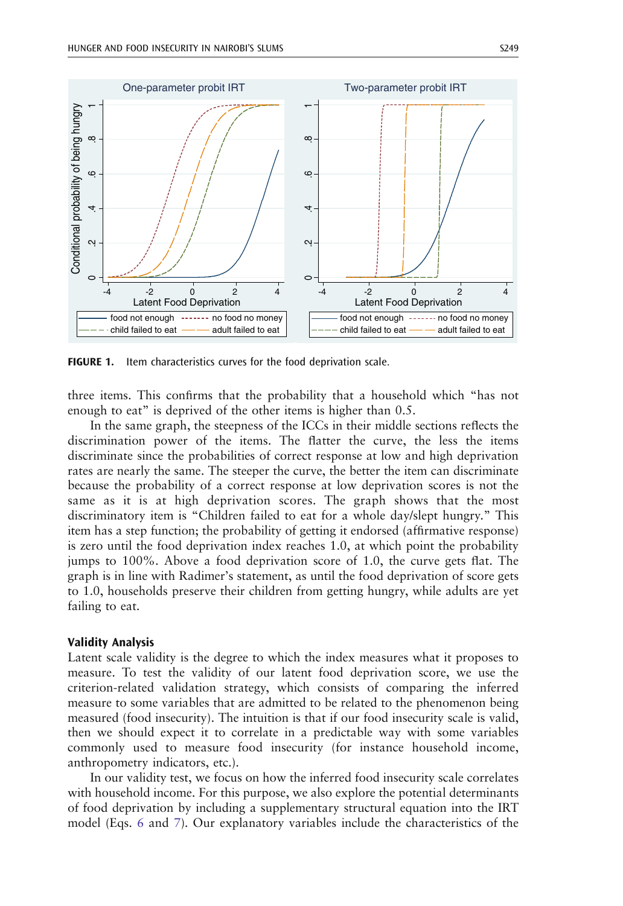<span id="page-14-0"></span>

FIGURE 1. Item characteristics curves for the food deprivation scale.

three items. This confirms that the probability that a household which "has not enough to eat" is deprived of the other items is higher than 0.5.

In the same graph, the steepness of the ICCs in their middle sections reflects the discrimination power of the items. The flatter the curve, the less the items discriminate since the probabilities of correct response at low and high deprivation rates are nearly the same. The steeper the curve, the better the item can discriminate because the probability of a correct response at low deprivation scores is not the same as it is at high deprivation scores. The graph shows that the most discriminatory item is "Children failed to eat for a whole day/slept hungry." This item has a step function; the probability of getting it endorsed (affirmative response) is zero until the food deprivation index reaches 1.0, at which point the probability jumps to 100%. Above a food deprivation score of 1.0, the curve gets flat. The graph is in line with Radimer's statement, as until the food deprivation of score gets to 1.0, households preserve their children from getting hungry, while adults are yet failing to eat.

## Validity Analysis

Latent scale validity is the degree to which the index measures what it proposes to measure. To test the validity of our latent food deprivation score, we use the criterion-related validation strategy, which consists of comparing the inferred measure to some variables that are admitted to be related to the phenomenon being measured (food insecurity). The intuition is that if our food insecurity scale is valid, then we should expect it to correlate in a predictable way with some variables commonly used to measure food insecurity (for instance household income, anthropometry indicators, etc.).

In our validity test, we focus on how the inferred food insecurity scale correlates with household income. For this purpose, we also explore the potential determinants of food deprivation by including a supplementary structural equation into the IRT model (Eqs. [6](#page-5-0) and [7\)](#page-5-0). Our explanatory variables include the characteristics of the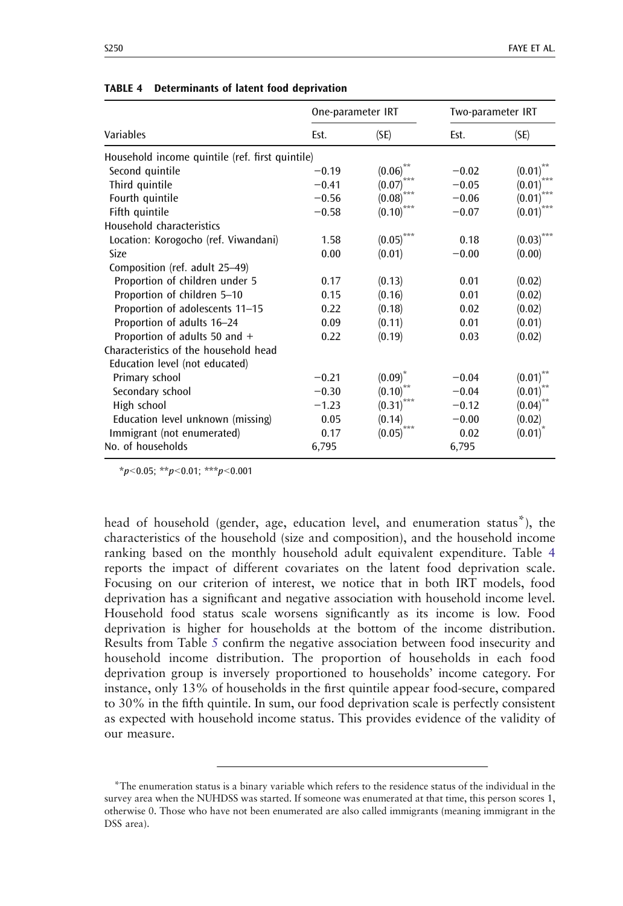|                                                 | One-parameter IRT |                           | Two-parameter IRT |                           |
|-------------------------------------------------|-------------------|---------------------------|-------------------|---------------------------|
| Variables                                       | Est.              | (SE)                      | Est.              | (SE)                      |
| Household income quintile (ref. first quintile) |                   |                           |                   |                           |
| Second quintile                                 | $-0.19$           | $(0.06)$ **               | $-0.02$           | (0.01)                    |
| Third quintile                                  | $-0.41$           | (0.07)                    | $-0.05$           | (0.01)                    |
| Fourth quintile                                 | $-0.56$           | (0.08)                    | $-0.06$           | (0.01)                    |
| Fifth quintile                                  | $-0.58$           | (0.10)                    | $-0.07$           | ***<br>(0.01)             |
| Household characteristics                       |                   |                           |                   |                           |
| Location: Korogocho (ref. Viwandani)            | 1.58              | $\left(0.05\right)^{***}$ | 0.18              | $\left(0.03\right)^{***}$ |
| Size                                            | 0.00              | (0.01)                    | $-0.00$           | (0.00)                    |
| Composition (ref. adult 25-49)                  |                   |                           |                   |                           |
| Proportion of children under 5                  | 0.17              | (0.13)                    | 0.01              | (0.02)                    |
| Proportion of children 5-10                     | 0.15              | (0.16)                    | 0.01              | (0.02)                    |
| Proportion of adolescents 11-15                 | 0.22              | (0.18)                    | 0.02              | (0.02)                    |
| Proportion of adults 16-24                      | 0.09              | (0.11)                    | 0.01              | (0.01)                    |
| Proportion of adults 50 and $+$                 | 0.22              | (0.19)                    | 0.03              | (0.02)                    |
| Characteristics of the household head           |                   |                           |                   |                           |
| Education level (not educated)                  |                   |                           |                   |                           |
| Primary school                                  | $-0.21$           | (0.09)                    | $-0.04$           | (0.01)                    |
| Secondary school                                | $-0.30$           | (0.10)                    | $-0.04$           | (0.01)                    |
| High school                                     | $-1.23$           | (0.31)                    | $-0.12$           | (0.04)                    |
| Education level unknown (missing)               | 0.05              | (0.14)                    | $-0.00$           | (0.02)                    |
| Immigrant (not enumerated)                      | 0.17              | (0.05)                    | 0.02              | $(0.01)$ <sup>"</sup>     |
| No. of households                               | 6,795             |                           | 6,795             |                           |

|  | <b>TABLE 4</b> Determinants of latent food deprivation |  |  |  |  |
|--|--------------------------------------------------------|--|--|--|--|
|--|--------------------------------------------------------|--|--|--|--|

 $*_{p<0.05;}$  \*\*p $<0.01;$  \*\*\*p $<0.001$ 

head of household (gender, age, education level, and enumeration status\*), the characteristics of the household (size and composition), and the household income ranking based on the monthly household adult equivalent expenditure. Table 4 reports the impact of different covariates on the latent food deprivation scale. Focusing on our criterion of interest, we notice that in both IRT models, food deprivation has a significant and negative association with household income level. Household food status scale worsens significantly as its income is low. Food deprivation is higher for households at the bottom of the income distribution. Results from Table [5](#page-16-0) confirm the negative association between food insecurity and household income distribution. The proportion of households in each food deprivation group is inversely proportioned to households' income category. For instance, only 13% of households in the first quintile appear food-secure, compared to 30% in the fifth quintile. In sum, our food deprivation scale is perfectly consistent as expected with household income status. This provides evidence of the validity of our measure.

<sup>\*</sup>The enumeration status is a binary variable which refers to the residence status of the individual in the survey area when the NUHDSS was started. If someone was enumerated at that time, this person scores 1, otherwise 0. Those who have not been enumerated are also called immigrants (meaning immigrant in the DSS area).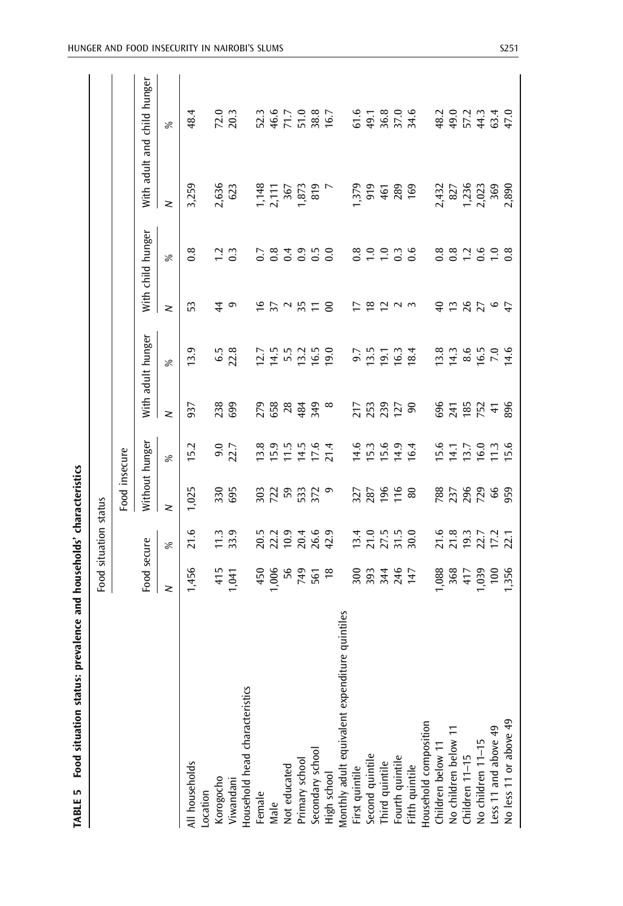<span id="page-16-0"></span>

|                                                                                                                                                                         |                         | Food situation status                           |                       |                                   |                      |                         |                                              |                   |                                                                        |                                                 |
|-------------------------------------------------------------------------------------------------------------------------------------------------------------------------|-------------------------|-------------------------------------------------|-----------------------|-----------------------------------|----------------------|-------------------------|----------------------------------------------|-------------------|------------------------------------------------------------------------|-------------------------------------------------|
|                                                                                                                                                                         |                         |                                                 | Food insecure         |                                   |                      |                         |                                              |                   |                                                                        |                                                 |
|                                                                                                                                                                         | Food secure             |                                                 | Without hunger        |                                   |                      | With adult hunger       |                                              | With child hunger |                                                                        | With adult and child hunger                     |
|                                                                                                                                                                         | z                       | వ్                                              | $\geq$                | $\%$                              | z                    | ℅                       | z                                            | $\%$              | $\geq$                                                                 | $\approx$                                       |
| All households                                                                                                                                                          | 1,456                   | 21.6                                            | 1,025                 | <b>5.2</b>                        | 937                  | 13.9                    | S                                            | $0.\overline{8}$  | 3,259                                                                  | 48.4                                            |
| Location                                                                                                                                                                |                         |                                                 |                       |                                   |                      |                         |                                              |                   |                                                                        |                                                 |
|                                                                                                                                                                         |                         |                                                 | 330                   |                                   |                      |                         | $\ddot{4}$                                   | $\overline{c}$    |                                                                        |                                                 |
| Korogocho<br>Viwandani                                                                                                                                                  | 415<br>1,041            | $\begin{array}{c} 1.3 \\ 3.9 \end{array}$       | 695                   | $9.0$<br>22.7                     | 23<br>699            | 6.5<br>22.8             | ு                                            | $\ddot{0}$        | 2,636<br>623                                                           | $72.0$<br>$20.3$                                |
| Household head characteristics                                                                                                                                          |                         |                                                 |                       |                                   |                      |                         |                                              |                   |                                                                        |                                                 |
| Female                                                                                                                                                                  | 450                     | 20.5                                            | 303                   | 13.8                              | 279                  | 12.7                    |                                              | 0.7               |                                                                        | 52.3                                            |
| Male                                                                                                                                                                    | 1,006                   |                                                 |                       |                                   |                      | 14.5                    | 622                                          | 0.8               |                                                                        |                                                 |
|                                                                                                                                                                         | 56                      | 22.2<br>10.9                                    | 72                    | $15.9$<br>$11.5$                  | 658<br>28            | 5.5                     |                                              | 0.4               |                                                                        | 46.6<br>71.7                                    |
|                                                                                                                                                                         |                         |                                                 |                       |                                   |                      |                         | 35                                           | 0.9               | $\begin{array}{c} 1,148 \\ 2,111 \\ 367 \\ 1,873 \\ 1,919 \end{array}$ |                                                 |
|                                                                                                                                                                         | 81<br>561<br>19         | 20.4<br>26.9<br>42.9                            | 533<br>372            | $14.5$<br>$7.6$<br>$7.4$          | 484<br>349           | 12 15 19<br>19 19 19    |                                              | 0.5               |                                                                        | $\frac{5}{38}$ , $\frac{8}{6}$ , $\frac{7}{16}$ |
|                                                                                                                                                                         |                         |                                                 | $\circ$               |                                   | $\infty$             |                         | $\epsilon$                                   | 0.0               |                                                                        |                                                 |
| Not educated<br>Primary school<br>Secondary school<br>High school<br>High school<br>Monthly adult equivalent expenditure quintiles<br>First quintile<br>Second quintile |                         |                                                 |                       |                                   |                      |                         |                                              |                   |                                                                        |                                                 |
|                                                                                                                                                                         |                         |                                                 |                       |                                   |                      | 9.7                     | 17                                           | 0.8               | 1,379                                                                  | 61.6                                            |
|                                                                                                                                                                         |                         |                                                 | 327<br>287            |                                   |                      | 13.5                    |                                              | $\frac{0}{1}$     | 919                                                                    | 49.1                                            |
|                                                                                                                                                                         |                         |                                                 | 196                   |                                   |                      |                         |                                              | $\frac{0}{1}$     | 461                                                                    | 36.8                                            |
|                                                                                                                                                                         | 2023467<br>2024<br>2025 | $13.71, 15.0$<br>$15.71, 15.0$<br>$15.71, 15.0$ | $\frac{16}{20}$       | 1<br>1 1 1 1 1 1 1<br>1 1 1 1 1 1 | <b>អ៊ីអូ</b> អូ ខ្លួ | $9.34$<br>$9.34$        | $\frac{18}{2}$ $\frac{11}{2}$ $\frac{11}{2}$ | $0.\overline{3}$  | 289<br>169                                                             | 37.0<br>34.6                                    |
| Fourth quintile<br>Fifth quintile<br>Household composition                                                                                                              |                         |                                                 |                       |                                   |                      |                         |                                              |                   |                                                                        |                                                 |
|                                                                                                                                                                         |                         |                                                 |                       |                                   |                      |                         |                                              |                   |                                                                        |                                                 |
|                                                                                                                                                                         |                         |                                                 |                       |                                   |                      | 13.8                    | $\overline{4}$                               | $0.\overline{8}$  |                                                                        | 48.2                                            |
|                                                                                                                                                                         | 1,088<br>368<br>417     |                                                 |                       |                                   |                      |                         |                                              | 0.8               |                                                                        |                                                 |
|                                                                                                                                                                         |                         |                                                 |                       |                                   |                      | $14.3$<br>8.6           |                                              | 12                |                                                                        |                                                 |
| Children below 11<br>No children below 11<br>Children 11–15<br>No children 11–15                                                                                        | 1,039<br>100<br>1,356   |                                                 | <u>ន្ត្រី ដូន និង</u> | 547<br>159236                     |                      |                         | P S S 0                                      | 6.08              | 2,432<br>827<br>1,236<br>2,023<br>369<br>3,890                         | $9.7404$<br>$9.7404$<br>$9.7404$                |
| Less 11 and above 49<br>No less 11 or above 49                                                                                                                          |                         |                                                 |                       |                                   |                      | $6.5$<br>$7.4$<br>$6.5$ |                                              |                   |                                                                        |                                                 |
|                                                                                                                                                                         |                         |                                                 |                       |                                   |                      |                         |                                              |                   |                                                                        |                                                 |

TABLE 5 Food situation status: prevalence and households' characteristics TABLE 5 Food situation status: prevalence and households' characteristics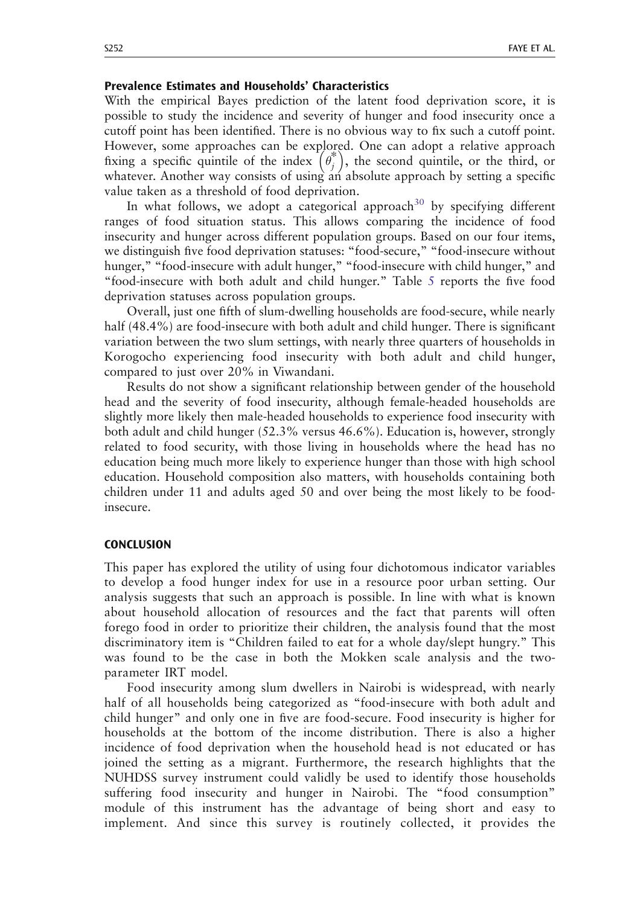# Prevalence Estimates and Households' Characteristics

With the empirical Bayes prediction of the latent food deprivation score, it is possible to study the incidence and severity of hunger and food insecurity once a cutoff point has been identified. There is no obvious way to fix such a cutoff point. However, some approaches can be explored. One can adopt a relative approach fixing a specific quintile of the index  $(\theta_i^*)$ , the second quintile, or the third, or whatever. Another way consists of using an absolute approach by setting a specific value taken as a threshold of food deprivation.

In what follows, we adopt a categorical approach<sup>[30](#page-20-0)</sup> by specifying different ranges of food situation status. This allows comparing the incidence of food insecurity and hunger across different population groups. Based on our four items, we distinguish five food deprivation statuses: "food-secure," "food-insecure without hunger," "food-insecure with adult hunger," "food-insecure with child hunger," and "food-insecure with both adult and child hunger." Table [5](#page-16-0) reports the five food deprivation statuses across population groups.

Overall, just one fifth of slum-dwelling households are food-secure, while nearly half (48.4%) are food-insecure with both adult and child hunger. There is significant variation between the two slum settings, with nearly three quarters of households in Korogocho experiencing food insecurity with both adult and child hunger, compared to just over 20% in Viwandani.

Results do not show a significant relationship between gender of the household head and the severity of food insecurity, although female-headed households are slightly more likely then male-headed households to experience food insecurity with both adult and child hunger (52.3% versus 46.6%). Education is, however, strongly related to food security, with those living in households where the head has no education being much more likely to experience hunger than those with high school education. Household composition also matters, with households containing both children under 11 and adults aged 50 and over being the most likely to be foodinsecure.

## **CONCLUSION**

This paper has explored the utility of using four dichotomous indicator variables to develop a food hunger index for use in a resource poor urban setting. Our analysis suggests that such an approach is possible. In line with what is known about household allocation of resources and the fact that parents will often forego food in order to prioritize their children, the analysis found that the most discriminatory item is "Children failed to eat for a whole day/slept hungry." This was found to be the case in both the Mokken scale analysis and the twoparameter IRT model.

Food insecurity among slum dwellers in Nairobi is widespread, with nearly half of all households being categorized as "food-insecure with both adult and child hunger" and only one in five are food-secure. Food insecurity is higher for households at the bottom of the income distribution. There is also a higher incidence of food deprivation when the household head is not educated or has joined the setting as a migrant. Furthermore, the research highlights that the NUHDSS survey instrument could validly be used to identify those households suffering food insecurity and hunger in Nairobi. The "food consumption" module of this instrument has the advantage of being short and easy to implement. And since this survey is routinely collected, it provides the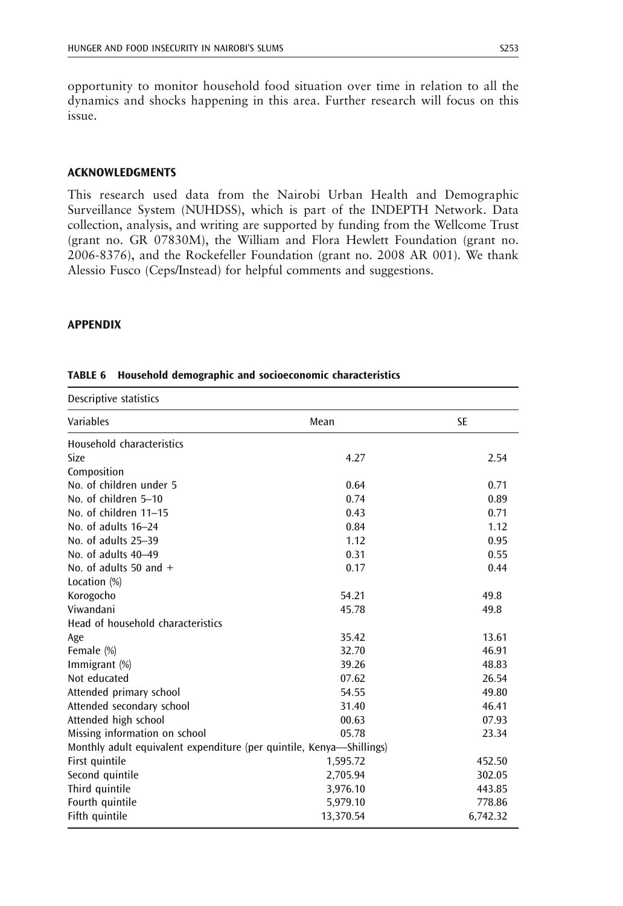<span id="page-18-0"></span>opportunity to monitor household food situation over time in relation to all the dynamics and shocks happening in this area. Further research will focus on this issue.

# ACKNOWLEDGMENTS

This research used data from the Nairobi Urban Health and Demographic Surveillance System (NUHDSS), which is part of the INDEPTH Network. Data collection, analysis, and writing are supported by funding from the Wellcome Trust (grant no. GR 07830M), the William and Flora Hewlett Foundation (grant no. 2006-8376), and the Rockefeller Foundation (grant no. 2008 AR 001). We thank Alessio Fusco (Ceps/Instead) for helpful comments and suggestions.

## APPENDIX

| Descriptive statistics                                               |           |           |
|----------------------------------------------------------------------|-----------|-----------|
| Variables                                                            | Mean      | <b>SE</b> |
| Household characteristics                                            |           |           |
| Size                                                                 | 4.27      | 2.54      |
| Composition                                                          |           |           |
| No. of children under 5                                              | 0.64      | 0.71      |
| No. of children 5-10                                                 | 0.74      | 0.89      |
| No. of children 11-15                                                | 0.43      | 0.71      |
| No. of adults 16-24                                                  | 0.84      | 1.12      |
| No. of adults 25-39                                                  | 1.12      | 0.95      |
| No. of adults 40-49                                                  | 0.31      | 0.55      |
| No. of adults 50 and $+$                                             | 0.17      | 0.44      |
| Location (%)                                                         |           |           |
| Korogocho                                                            | 54.21     | 49.8      |
| Viwandani                                                            | 45.78     | 49.8      |
| Head of household characteristics                                    |           |           |
| Age                                                                  | 35.42     | 13.61     |
| Female (%)                                                           | 32.70     | 46.91     |
| Immigrant (%)                                                        | 39.26     | 48.83     |
| Not educated                                                         | 07.62     | 26.54     |
| Attended primary school                                              | 54.55     | 49.80     |
| Attended secondary school                                            | 31.40     | 46.41     |
| Attended high school                                                 | 00.63     | 07.93     |
| Missing information on school                                        | 05.78     | 23.34     |
| Monthly adult equivalent expenditure (per quintile, Kenya—Shillings) |           |           |
| First quintile                                                       | 1,595.72  | 452.50    |
| Second quintile                                                      | 2,705.94  | 302.05    |
| Third quintile                                                       | 3,976.10  | 443.85    |
| Fourth quintile                                                      | 5,979.10  | 778.86    |
| Fifth quintile                                                       | 13,370.54 | 6,742.32  |

## TABLE 6 Household demographic and socioeconomic characteristics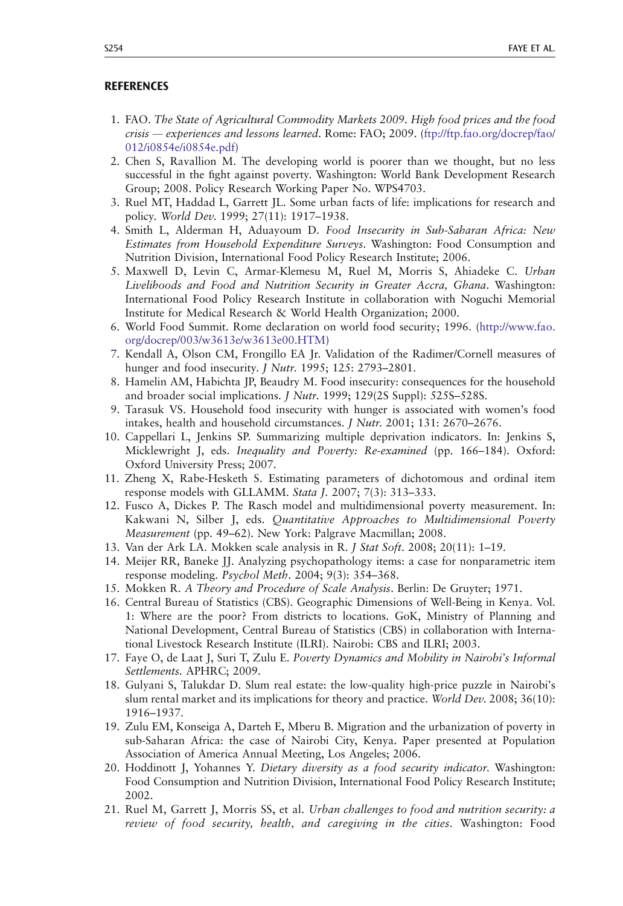## <span id="page-19-0"></span>**REFERENCES**

- 1. FAO. The State of Agricultural Commodity Markets 2009. High food prices and the food crisis — experiences and lessons learned. Rome: FAO; 2009. (ftp://ftp.fao.org/docrep/fao/ 012/i0854e/i0854e.pdf)
- 2. Chen S, Ravallion M. The developing world is poorer than we thought, but no less successful in the fight against poverty. Washington: World Bank Development Research Group; 2008. Policy Research Working Paper No. WPS4703.
- 3. Ruel MT, Haddad L, Garrett JL. Some urban facts of life: implications for research and policy. World Dev. 1999; 27(11): 1917–1938.
- 4. Smith L, Alderman H, Aduayoum D. Food Insecurity in Sub-Saharan Africa: New Estimates from Household Expenditure Surveys. Washington: Food Consumption and Nutrition Division, International Food Policy Research Institute; 2006.
- 5. Maxwell D, Levin C, Armar-Klemesu M, Ruel M, Morris S, Ahiadeke C. Urban Livelihoods and Food and Nutrition Security in Greater Accra, Ghana. Washington: International Food Policy Research Institute in collaboration with Noguchi Memorial Institute for Medical Research & World Health Organization; 2000.
- 6. World Food Summit. Rome declaration on world food security; 1996. (http://www.fao. org/docrep/003/w3613e/w3613e00.HTM)
- 7. Kendall A, Olson CM, Frongillo EA Jr. Validation of the Radimer/Cornell measures of hunger and food insecurity. J Nutr. 1995; 125: 2793–2801.
- 8. Hamelin AM, Habichta JP, Beaudry M. Food insecurity: consequences for the household and broader social implications. J Nutr. 1999; 129(2S Suppl): 525S–528S.
- 9. Tarasuk VS. Household food insecurity with hunger is associated with women's food intakes, health and household circumstances. J Nutr. 2001; 131: 2670–2676.
- 10. Cappellari L, Jenkins SP. Summarizing multiple deprivation indicators. In: Jenkins S, Micklewright J, eds. Inequality and Poverty: Re-examined (pp. 166–184). Oxford: Oxford University Press; 2007.
- 11. Zheng X, Rabe-Hesketh S. Estimating parameters of dichotomous and ordinal item response models with GLLAMM. Stata J. 2007; 7(3): 313–333.
- 12. Fusco A, Dickes P. The Rasch model and multidimensional poverty measurement. In: Kakwani N, Silber J, eds. Quantitative Approaches to Multidimensional Poverty Measurement (pp. 49–62). New York: Palgrave Macmillan; 2008.
- 13. Van der Ark LA. Mokken scale analysis in R. J Stat Soft. 2008; 20(11): 1–19.
- 14. Meijer RR, Baneke JJ. Analyzing psychopathology items: a case for nonparametric item response modeling. Psychol Meth. 2004; 9(3): 354–368.
- 15. Mokken R. A Theory and Procedure of Scale Analysis. Berlin: De Gruyter; 1971.
- 16. Central Bureau of Statistics (CBS). Geographic Dimensions of Well-Being in Kenya. Vol. 1: Where are the poor? From districts to locations. GoK, Ministry of Planning and National Development, Central Bureau of Statistics (CBS) in collaboration with International Livestock Research Institute (ILRI). Nairobi: CBS and ILRI; 2003.
- 17. Faye O, de Laat J, Suri T, Zulu E. Poverty Dynamics and Mobility in Nairobi's Informal Settlements. APHRC; 2009.
- 18. Gulyani S, Talukdar D. Slum real estate: the low-quality high-price puzzle in Nairobi's slum rental market and its implications for theory and practice. World Dev. 2008; 36(10): 1916–1937.
- 19. Zulu EM, Konseiga A, Darteh E, Mberu B. Migration and the urbanization of poverty in sub-Saharan Africa: the case of Nairobi City, Kenya. Paper presented at Population Association of America Annual Meeting, Los Angeles; 2006.
- 20. Hoddinott J, Yohannes Y. Dietary diversity as a food security indicator. Washington: Food Consumption and Nutrition Division, International Food Policy Research Institute; 2002.
- 21. Ruel M, Garrett J, Morris SS, et al. Urban challenges to food and nutrition security: a review of food security, health, and caregiving in the cities. Washington: Food